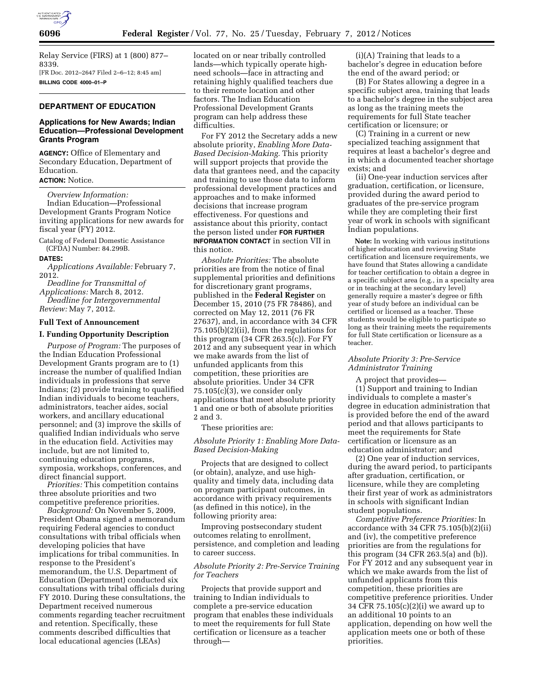

Relay Service (FIRS) at 1 (800) 877– 8339. [FR Doc. 2012–2647 Filed 2–6–12; 8:45 am] **BILLING CODE 4000–01–P** 

### **DEPARTMENT OF EDUCATION**

## **Applications for New Awards; Indian Education—Professional Development Grants Program**

**AGENCY:** Office of Elementary and Secondary Education, Department of Education.

# **ACTION:** Notice.

*Overview Information:* 

Indian Education—Professional Development Grants Program Notice inviting applications for new awards for fiscal year (FY) 2012.

Catalog of Federal Domestic Assistance (CFDA) Number: 84.299B.

### **DATES:**

*Applications Available:* February 7, 2012.

*Deadline for Transmittal of Applications:* March 8, 2012. *Deadline for Intergovernmental Review:* May 7, 2012.

#### **Full Text of Announcement**

#### **I. Funding Opportunity Description**

*Purpose of Program:* The purposes of the Indian Education Professional Development Grants program are to (1) increase the number of qualified Indian individuals in professions that serve Indians; (2) provide training to qualified Indian individuals to become teachers, administrators, teacher aides, social workers, and ancillary educational personnel; and (3) improve the skills of qualified Indian individuals who serve in the education field. Activities may include, but are not limited to, continuing education programs, symposia, workshops, conferences, and direct financial support.

*Priorities:* This competition contains three absolute priorities and two competitive preference priorities.

*Background:* On November 5, 2009, President Obama signed a memorandum requiring Federal agencies to conduct consultations with tribal officials when developing policies that have implications for tribal communities. In response to the President's memorandum, the U.S. Department of Education (Department) conducted six consultations with tribal officials during FY 2010. During these consultations, the Department received numerous comments regarding teacher recruitment and retention. Specifically, these comments described difficulties that local educational agencies (LEAs)

located on or near tribally controlled lands—which typically operate highneed schools—face in attracting and retaining highly qualified teachers due to their remote location and other factors. The Indian Education Professional Development Grants program can help address these difficulties.

For FY 2012 the Secretary adds a new absolute priority, *Enabling More Data-Based Decision-Making.* This priority will support projects that provide the data that grantees need, and the capacity and training to use those data to inform professional development practices and approaches and to make informed decisions that increase program effectiveness. For questions and assistance about this priority, contact the person listed under **FOR FURTHER INFORMATION CONTACT** in section VII in this notice.

*Absolute Priorities:* The absolute priorities are from the notice of final supplemental priorities and definitions for discretionary grant programs, published in the **Federal Register** on December 15, 2010 (75 FR 78486), and corrected on May 12, 2011 (76 FR 27637), and, in accordance with 34 CFR 75.105(b)(2)(ii), from the regulations for this program  $(34 \text{ CFR } 263.5(c))$ . For FY 2012 and any subsequent year in which we make awards from the list of unfunded applicants from this competition, these priorities are absolute priorities. Under 34 CFR 75.105(c)(3), we consider only applications that meet absolute priority 1 and one or both of absolute priorities 2 and 3.

These priorities are:

## *Absolute Priority 1: Enabling More Data-Based Decision-Making*

Projects that are designed to collect (or obtain), analyze, and use highquality and timely data, including data on program participant outcomes, in accordance with privacy requirements (as defined in this notice), in the following priority area:

Improving postsecondary student outcomes relating to enrollment, persistence, and completion and leading to career success.

## *Absolute Priority 2: Pre-Service Training for Teachers*

Projects that provide support and training to Indian individuals to complete a pre-service education program that enables these individuals to meet the requirements for full State certification or licensure as a teacher through—

(i)(A) Training that leads to a bachelor's degree in education before the end of the award period; or

(B) For States allowing a degree in a specific subject area, training that leads to a bachelor's degree in the subject area as long as the training meets the requirements for full State teacher certification or licensure; or

(C) Training in a current or new specialized teaching assignment that requires at least a bachelor's degree and in which a documented teacher shortage exists; and

(ii) One-year induction services after graduation, certification, or licensure, provided during the award period to graduates of the pre-service program while they are completing their first year of work in schools with significant Indian populations.

**Note:** In working with various institutions of higher education and reviewing State certification and licensure requirements, we have found that States allowing a candidate for teacher certification to obtain a degree in a specific subject area (e.g., in a specialty area or in teaching at the secondary level) generally require a master's degree or fifth year of study before an individual can be certified or licensed as a teacher. These students would be eligible to participate so long as their training meets the requirements for full State certification or licensure as a teacher.

# *Absolute Priority 3: Pre-Service Administrator Training*

A project that provides— (1) Support and training to Indian individuals to complete a master's degree in education administration that is provided before the end of the award period and that allows participants to meet the requirements for State certification or licensure as an education administrator; and

(2) One year of induction services, during the award period, to participants after graduation, certification, or licensure, while they are completing their first year of work as administrators in schools with significant Indian student populations.

*Competitive Preference Priorities:* In accordance with 34 CFR 75.105(b)(2)(ii) and (iv), the competitive preference priorities are from the regulations for this program (34 CFR 263.5(a) and (b)). For FY 2012 and any subsequent year in which we make awards from the list of unfunded applicants from this competition, these priorities are competitive preference priorities. Under 34 CFR 75.105(c)(2)(i) we award up to an additional 10 points to an application, depending on how well the application meets one or both of these priorities.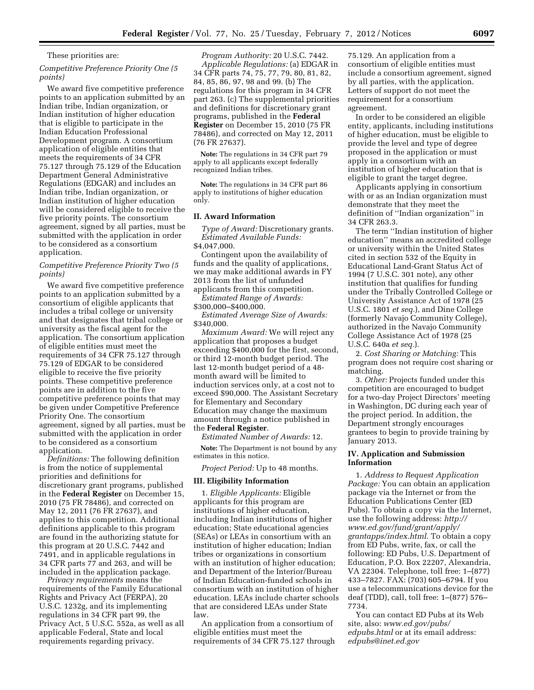These priorities are:

## *Competitive Preference Priority One (5 points)*

We award five competitive preference points to an application submitted by an Indian tribe, Indian organization, or Indian institution of higher education that is eligible to participate in the Indian Education Professional Development program. A consortium application of eligible entities that meets the requirements of 34 CFR 75.127 through 75.129 of the Education Department General Administrative Regulations (EDGAR) and includes an Indian tribe, Indian organization, or Indian institution of higher education will be considered eligible to receive the five priority points. The consortium agreement, signed by all parties, must be submitted with the application in order to be considered as a consortium application.

## *Competitive Preference Priority Two (5 points)*

We award five competitive preference points to an application submitted by a consortium of eligible applicants that includes a tribal college or university and that designates that tribal college or university as the fiscal agent for the application. The consortium application of eligible entities must meet the requirements of 34 CFR 75.127 through 75.129 of EDGAR to be considered eligible to receive the five priority points. These competitive preference points are in addition to the five competitive preference points that may be given under Competitive Preference Priority One. The consortium agreement, signed by all parties, must be submitted with the application in order to be considered as a consortium application.

*Definitions:* The following definition is from the notice of supplemental priorities and definitions for discretionary grant programs, published in the **Federal Register** on December 15, 2010 (75 FR 78486), and corrected on May 12, 2011 (76 FR 27637), and applies to this competition. Additional definitions applicable to this program are found in the authorizing statute for this program at 20 U.S.C. 7442 and 7491, and in applicable regulations in 34 CFR parts 77 and 263, and will be included in the application package.

*Privacy requirements* means the requirements of the Family Educational Rights and Privacy Act (FERPA), 20 U.S.C. 1232g, and its implementing regulations in 34 CFR part 99, the Privacy Act, 5 U.S.C. 552a, as well as all applicable Federal, State and local requirements regarding privacy.

*Program Authority:* 20 U.S.C. 7442. *Applicable Regulations:* (a) EDGAR in 34 CFR parts 74, 75, 77, 79, 80, 81, 82, 84, 85, 86, 97, 98 and 99. (b) The regulations for this program in 34 CFR part 263. (c) The supplemental priorities and definitions for discretionary grant programs, published in the **Federal Register** on December 15, 2010 (75 FR 78486), and corrected on May 12, 2011 (76 FR 27637).

**Note:** The regulations in 34 CFR part 79 apply to all applicants except federally recognized Indian tribes.

**Note:** The regulations in 34 CFR part 86 apply to institutions of higher education only.

## **II. Award Information**

*Type of Award:* Discretionary grants. *Estimated Available Funds:*  \$4,047,000.

Contingent upon the availability of funds and the quality of applications, we may make additional awards in FY 2013 from the list of unfunded applicants from this competition.

*Estimated Range of Awards:*  \$300,000–\$400,000.

*Estimated Average Size of Awards:*  \$340,000.

*Maximum Award:* We will reject any application that proposes a budget exceeding \$400,000 for the first, second, or third 12-month budget period. The last 12-month budget period of a 48 month award will be limited to induction services only, at a cost not to exceed \$90,000. The Assistant Secretary for Elementary and Secondary Education may change the maximum amount through a notice published in the **Federal Register**.

*Estimated Number of Awards:* 12.

**Note:** The Department is not bound by any estimates in this notice.

*Project Period:* Up to 48 months.

#### **III. Eligibility Information**

1. *Eligible Applicants:* Eligible applicants for this program are institutions of higher education, including Indian institutions of higher education; State educational agencies (SEAs) or LEAs in consortium with an institution of higher education; Indian tribes or organizations in consortium with an institution of higher education; and Department of the Interior/Bureau of Indian Education-funded schools in consortium with an institution of higher education. LEAs include charter schools that are considered LEAs under State law.

An application from a consortium of eligible entities must meet the requirements of 34 CFR 75.127 through

75.129. An application from a consortium of eligible entities must include a consortium agreement, signed by all parties, with the application. Letters of support do not meet the requirement for a consortium agreement.

In order to be considered an eligible entity, applicants, including institutions of higher education, must be eligible to provide the level and type of degree proposed in the application or must apply in a consortium with an institution of higher education that is eligible to grant the target degree.

Applicants applying in consortium with or as an Indian organization must demonstrate that they meet the definition of ''Indian organization'' in 34 CFR 263.3.

The term ''Indian institution of higher education'' means an accredited college or university within the United States cited in section 532 of the Equity in Educational Land-Grant Status Act of 1994 (7 U.S.C. 301 note), any other institution that qualifies for funding under the Tribally Controlled College or University Assistance Act of 1978 (25 U.S.C. 1801 *et seq.*), and Dine College (formerly Navajo Community College), authorized in the Navajo Community College Assistance Act of 1978 (25 U.S.C. 640a *et seq.*).

2. *Cost Sharing or Matching:* This program does not require cost sharing or matching.

3. *Other:* Projects funded under this competition are encouraged to budget for a two-day Project Directors' meeting in Washington, DC during each year of the project period. In addition, the Department strongly encourages grantees to begin to provide training by January 2013.

## **IV. Application and Submission Information**

1. *Address to Request Application Package:* You can obtain an application package via the Internet or from the Education Publications Center (ED Pubs). To obtain a copy via the Internet, use the following address: *[http://](http://www.ed.gov/fund/grant/apply/grantapps/index.html)  [www.ed.gov/fund/grant/apply/](http://www.ed.gov/fund/grant/apply/grantapps/index.html) [grantapps/index.html](http://www.ed.gov/fund/grant/apply/grantapps/index.html)*. To obtain a copy from ED Pubs, write, fax, or call the following: ED Pubs, U.S. Department of Education, P.O. Box 22207, Alexandria, VA 22304. Telephone, toll free: 1–(877) 433–7827. FAX: (703) 605–6794. If you use a telecommunications device for the deaf (TDD), call, toll free: 1–(877) 576– 7734.

You can contact ED Pubs at its Web site, also: *[www.ed.gov/pubs/](http://www.ed.gov/pubs/edpubs.html)  [edpubs.html](http://www.ed.gov/pubs/edpubs.html)* or at its email address: *[edpubs@inet.ed.gov](mailto:edpubs@inet.ed.gov)*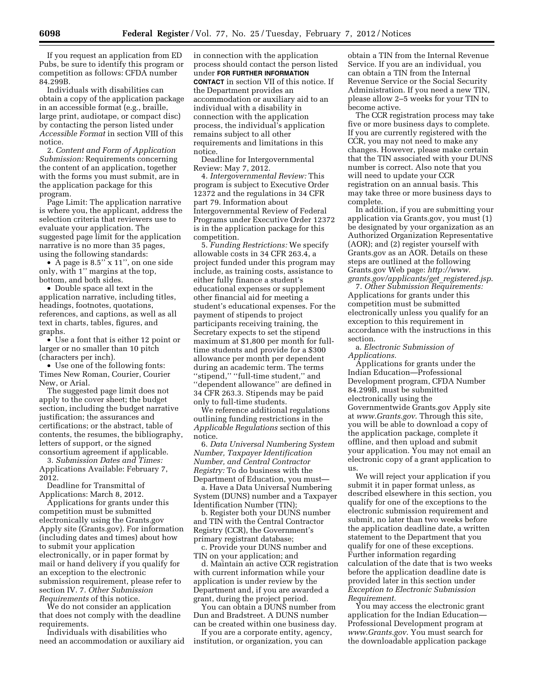If you request an application from ED Pubs, be sure to identify this program or competition as follows: CFDA number 84.299B.

Individuals with disabilities can obtain a copy of the application package in an accessible format (e.g., braille, large print, audiotape, or compact disc) by contacting the person listed under *Accessible Format* in section VIII of this notice.

2. *Content and Form of Application Submission:* Requirements concerning the content of an application, together with the forms you must submit, are in the application package for this program.

Page Limit: The application narrative is where you, the applicant, address the selection criteria that reviewers use to evaluate your application. The suggested page limit for the application narrative is no more than 35 pages, using the following standards:

• A page is 8.5'' x 11'', on one side only, with 1'' margins at the top, bottom, and both sides.

• Double space all text in the application narrative, including titles, headings, footnotes, quotations, references, and captions, as well as all text in charts, tables, figures, and graphs.

• Use a font that is either 12 point or larger or no smaller than 10 pitch (characters per inch).

• Use one of the following fonts: Times New Roman, Courier, Courier New, or Arial.

The suggested page limit does not apply to the cover sheet; the budget section, including the budget narrative justification; the assurances and certifications; or the abstract, table of contents, the resumes, the bibliography, letters of support, or the signed consortium agreement if applicable.

3. *Submission Dates and Times:*  Applications Available: February 7, 2012.

Deadline for Transmittal of Applications: March 8, 2012.

Applications for grants under this competition must be submitted electronically using the Grants.gov Apply site (Grants.gov). For information (including dates and times) about how to submit your application electronically, or in paper format by mail or hand delivery if you qualify for an exception to the electronic submission requirement, please refer to section IV. 7. *Other Submission Requirements* of this notice.

We do not consider an application that does not comply with the deadline requirements.

Individuals with disabilities who need an accommodation or auxiliary aid in connection with the application process should contact the person listed under **FOR FURTHER INFORMATION CONTACT** in section VII of this notice. If the Department provides an accommodation or auxiliary aid to an individual with a disability in connection with the application process, the individual's application remains subject to all other requirements and limitations in this notice.

Deadline for Intergovernmental Review: May 7, 2012.

4. *Intergovernmental Review:* This program is subject to Executive Order 12372 and the regulations in 34 CFR part 79. Information about Intergovernmental Review of Federal Programs under Executive Order 12372 is in the application package for this competition.

5. *Funding Restrictions:* We specify allowable costs in 34 CFR 263.4, a project funded under this program may include, as training costs, assistance to either fully finance a student's educational expenses or supplement other financial aid for meeting a student's educational expenses. For the payment of stipends to project participants receiving training, the Secretary expects to set the stipend maximum at \$1,800 per month for fulltime students and provide for a \$300 allowance per month per dependent during an academic term. The terms "stipend," "full-time student," and ''dependent allowance'' are defined in 34 CFR 263.3. Stipends may be paid only to full-time students.

We reference additional regulations outlining funding restrictions in the *Applicable Regulations* section of this notice.

6. *Data Universal Numbering System Number, Taxpayer Identification Number, and Central Contractor Registry:* To do business with the Department of Education, you must—

a. Have a Data Universal Numbering System (DUNS) number and a Taxpayer Identification Number (TIN);

b. Register both your DUNS number and TIN with the Central Contractor Registry (CCR), the Government's primary registrant database;

c. Provide your DUNS number and TIN on your application; and

d. Maintain an active CCR registration with current information while your application is under review by the Department and, if you are awarded a grant, during the project period.

You can obtain a DUNS number from Dun and Bradstreet. A DUNS number can be created within one business day.

If you are a corporate entity, agency, institution, or organization, you can

obtain a TIN from the Internal Revenue Service. If you are an individual, you can obtain a TIN from the Internal Revenue Service or the Social Security Administration. If you need a new TIN, please allow 2–5 weeks for your TIN to become active.

The CCR registration process may take five or more business days to complete. If you are currently registered with the CCR, you may not need to make any changes. However, please make certain that the TIN associated with your DUNS number is correct. Also note that you will need to update your CCR registration on an annual basis. This may take three or more business days to complete.

In addition, if you are submitting your application via Grants.gov, you must (1) be designated by your organization as an Authorized Organization Representative (AOR); and (2) register yourself with Grants.gov as an AOR. Details on these steps are outlined at the following Grants.gov Web page: *[http://www.](http://www.grants.gov/applicants/get_registered.jsp) [grants.gov/applicants/get](http://www.grants.gov/applicants/get_registered.jsp)*\_*registered.jsp*.

7. *Other Submission Requirements:*  Applications for grants under this competition must be submitted electronically unless you qualify for an exception to this requirement in accordance with the instructions in this section.

a. *Electronic Submission of Applications.* 

Applications for grants under the Indian Education—Professional Development program, CFDA Number 84.299B, must be submitted electronically using the Governmentwide Grants.gov Apply site at *[www.Grants.gov](http://www.Grants.gov)*. Through this site, you will be able to download a copy of the application package, complete it offline, and then upload and submit your application. You may not email an electronic copy of a grant application to us.

We will reject your application if you submit it in paper format unless, as described elsewhere in this section, you qualify for one of the exceptions to the electronic submission requirement and submit, no later than two weeks before the application deadline date, a written statement to the Department that you qualify for one of these exceptions. Further information regarding calculation of the date that is two weeks before the application deadline date is provided later in this section under *Exception to Electronic Submission Requirement.* 

You may access the electronic grant application for the Indian Education— Professional Development program at *[www.Grants.gov](http://www.Grants.gov)*. You must search for the downloadable application package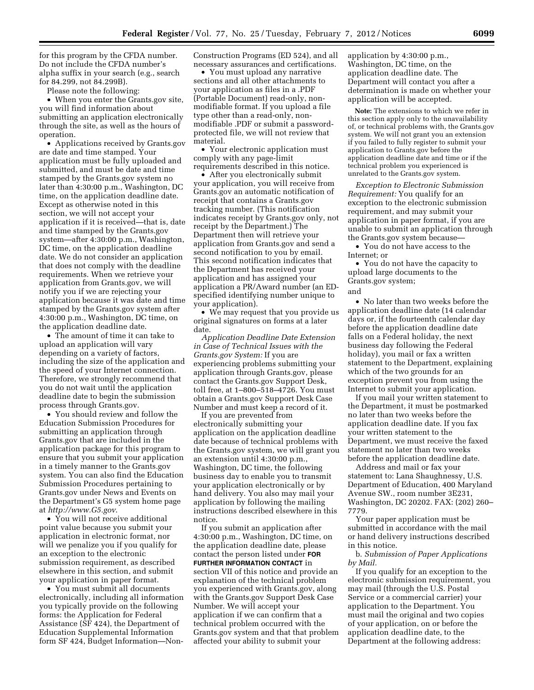for this program by the CFDA number. Do not include the CFDA number's alpha suffix in your search (e.g., search for 84.299, not 84.299B).

Please note the following:

• When you enter the Grants.gov site, you will find information about submitting an application electronically through the site, as well as the hours of operation.

• Applications received by Grants.gov are date and time stamped. Your application must be fully uploaded and submitted, and must be date and time stamped by the Grants.gov system no later than 4:30:00 p.m., Washington, DC time, on the application deadline date. Except as otherwise noted in this section, we will not accept your application if it is received—that is, date and time stamped by the Grants.gov system—after 4:30:00 p.m., Washington, DC time, on the application deadline date. We do not consider an application that does not comply with the deadline requirements. When we retrieve your application from Grants.gov, we will notify you if we are rejecting your application because it was date and time stamped by the Grants.gov system after 4:30:00 p.m., Washington, DC time, on the application deadline date.

• The amount of time it can take to upload an application will vary depending on a variety of factors, including the size of the application and the speed of your Internet connection. Therefore, we strongly recommend that you do not wait until the application deadline date to begin the submission process through Grants.gov.

• You should review and follow the Education Submission Procedures for submitting an application through Grants.gov that are included in the application package for this program to ensure that you submit your application in a timely manner to the Grants.gov system. You can also find the Education Submission Procedures pertaining to Grants.gov under News and Events on the Department's G5 system home page at *<http://www.G5.gov>*.

• You will not receive additional point value because you submit your application in electronic format, nor will we penalize you if you qualify for an exception to the electronic submission requirement, as described elsewhere in this section, and submit your application in paper format.

• You must submit all documents electronically, including all information you typically provide on the following forms: the Application for Federal Assistance (SF 424), the Department of Education Supplemental Information form SF 424, Budget Information—NonConstruction Programs (ED 524), and all necessary assurances and certifications.

• You must upload any narrative sections and all other attachments to your application as files in a .PDF (Portable Document) read-only, nonmodifiable format. If you upload a file type other than a read-only, nonmodifiable .PDF or submit a passwordprotected file, we will not review that material.

• Your electronic application must comply with any page-limit requirements described in this notice.

• After you electronically submit your application, you will receive from Grants.gov an automatic notification of receipt that contains a Grants.gov tracking number. (This notification indicates receipt by Grants.gov only, not receipt by the Department.) The Department then will retrieve your application from Grants.gov and send a second notification to you by email. This second notification indicates that the Department has received your application and has assigned your application a PR/Award number (an EDspecified identifying number unique to your application).

• We may request that you provide us original signatures on forms at a later date.

*Application Deadline Date Extension in Case of Technical Issues with the Grants.gov System:* If you are experiencing problems submitting your application through Grants.gov, please contact the Grants.gov Support Desk, toll free, at 1–800–518–4726. You must obtain a Grants.gov Support Desk Case Number and must keep a record of it.

If you are prevented from electronically submitting your application on the application deadline date because of technical problems with the Grants.gov system, we will grant you an extension until 4:30:00 p.m., Washington, DC time, the following business day to enable you to transmit your application electronically or by hand delivery. You also may mail your application by following the mailing instructions described elsewhere in this notice.

If you submit an application after 4:30:00 p.m., Washington, DC time, on the application deadline date, please contact the person listed under **FOR FURTHER INFORMATION CONTACT** in section VII of this notice and provide an explanation of the technical problem you experienced with Grants.gov, along with the Grants.gov Support Desk Case Number. We will accept your application if we can confirm that a technical problem occurred with the Grants.gov system and that that problem affected your ability to submit your

application by 4:30:00 p.m., Washington, DC time, on the application deadline date. The Department will contact you after a determination is made on whether your application will be accepted.

**Note:** The extensions to which we refer in this section apply only to the unavailability of, or technical problems with, the Grants.gov system. We will not grant you an extension if you failed to fully register to submit your application to Grants.gov before the application deadline date and time or if the technical problem you experienced is unrelated to the Grants.gov system.

*Exception to Electronic Submission Requirement:* You qualify for an exception to the electronic submission requirement, and may submit your application in paper format, if you are unable to submit an application through the Grants.gov system because—

• You do not have access to the Internet; or

• You do not have the capacity to upload large documents to the Grants.gov system;

and

• No later than two weeks before the application deadline date (14 calendar days or, if the fourteenth calendar day before the application deadline date falls on a Federal holiday, the next business day following the Federal holiday), you mail or fax a written statement to the Department, explaining which of the two grounds for an exception prevent you from using the Internet to submit your application.

If you mail your written statement to the Department, it must be postmarked no later than two weeks before the application deadline date. If you fax your written statement to the Department, we must receive the faxed statement no later than two weeks before the application deadline date.

Address and mail or fax your statement to: Lana Shaughnessy, U.S. Department of Education, 400 Maryland Avenue SW., room number 3E231, Washington, DC 20202. FAX: (202) 260– 7779.

Your paper application must be submitted in accordance with the mail or hand delivery instructions described in this notice.

b. *Submission of Paper Applications by Mail.* 

If you qualify for an exception to the electronic submission requirement, you may mail (through the U.S. Postal Service or a commercial carrier) your application to the Department. You must mail the original and two copies of your application, on or before the application deadline date, to the Department at the following address: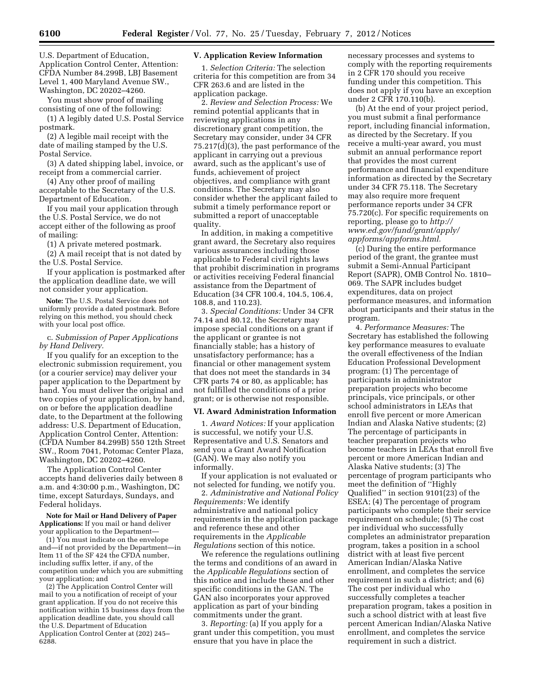U.S. Department of Education, Application Control Center, Attention: CFDA Number 84.299B, LBJ Basement Level 1, 400 Maryland Avenue SW., Washington, DC 20202–4260.

You must show proof of mailing consisting of one of the following:

(1) A legibly dated U.S. Postal Service postmark.

(2) A legible mail receipt with the date of mailing stamped by the U.S. Postal Service.

(3) A dated shipping label, invoice, or receipt from a commercial carrier.

(4) Any other proof of mailing acceptable to the Secretary of the U.S. Department of Education.

If you mail your application through the U.S. Postal Service, we do not accept either of the following as proof of mailing:

(1) A private metered postmark.

(2) A mail receipt that is not dated by the U.S. Postal Service.

If your application is postmarked after the application deadline date, we will not consider your application.

**Note:** The U.S. Postal Service does not uniformly provide a dated postmark. Before relying on this method, you should check with your local post office.

c. *Submission of Paper Applications by Hand Delivery.* 

If you qualify for an exception to the electronic submission requirement, you (or a courier service) may deliver your paper application to the Department by hand. You must deliver the original and two copies of your application, by hand, on or before the application deadline date, to the Department at the following address: U.S. Department of Education, Application Control Center, Attention: (CFDA Number 84.299B) 550 12th Street SW., Room 7041, Potomac Center Plaza, Washington, DC 20202–4260.

The Application Control Center accepts hand deliveries daily between 8 a.m. and 4:30:00 p.m., Washington, DC time, except Saturdays, Sundays, and Federal holidays.

**Note for Mail or Hand Delivery of Paper Applications:** If you mail or hand deliver your application to the Department—

(1) You must indicate on the envelope and—if not provided by the Department—in Item 11 of the SF 424 the CFDA number, including suffix letter, if any, of the competition under which you are submitting your application; and

(2) The Application Control Center will mail to you a notification of receipt of your grant application. If you do not receive this notification within 15 business days from the application deadline date, you should call the U.S. Department of Education Application Control Center at (202) 245– 6288.

### **V. Application Review Information**

1. *Selection Criteria:* The selection criteria for this competition are from 34 CFR 263.6 and are listed in the application package.

2. *Review and Selection Process:* We remind potential applicants that in reviewing applications in any discretionary grant competition, the Secretary may consider, under 34 CFR 75.217(d)(3), the past performance of the applicant in carrying out a previous award, such as the applicant's use of funds, achievement of project objectives, and compliance with grant conditions. The Secretary may also consider whether the applicant failed to submit a timely performance report or submitted a report of unacceptable quality.

In addition, in making a competitive grant award, the Secretary also requires various assurances including those applicable to Federal civil rights laws that prohibit discrimination in programs or activities receiving Federal financial assistance from the Department of Education (34 CFR 100.4, 104.5, 106.4, 108.8, and 110.23).

3. *Special Conditions:* Under 34 CFR 74.14 and 80.12, the Secretary may impose special conditions on a grant if the applicant or grantee is not financially stable; has a history of unsatisfactory performance; has a financial or other management system that does not meet the standards in 34 CFR parts 74 or 80, as applicable; has not fulfilled the conditions of a prior grant; or is otherwise not responsible.

## **VI. Award Administration Information**

1. *Award Notices:* If your application is successful, we notify your U.S. Representative and U.S. Senators and send you a Grant Award Notification (GAN). We may also notify you informally.

If your application is not evaluated or not selected for funding, we notify you.

2. *Administrative and National Policy Requirements:* We identify administrative and national policy requirements in the application package and reference these and other requirements in the *Applicable Regulations* section of this notice.

We reference the regulations outlining the terms and conditions of an award in the *Applicable Regulations* section of this notice and include these and other specific conditions in the GAN. The GAN also incorporates your approved application as part of your binding commitments under the grant.

3. *Reporting:* (a) If you apply for a grant under this competition, you must ensure that you have in place the

necessary processes and systems to comply with the reporting requirements in 2 CFR 170 should you receive funding under this competition. This does not apply if you have an exception under 2 CFR 170.110(b).

(b) At the end of your project period, you must submit a final performance report, including financial information, as directed by the Secretary. If you receive a multi-year award, you must submit an annual performance report that provides the most current performance and financial expenditure information as directed by the Secretary under 34 CFR 75.118. The Secretary may also require more frequent performance reports under 34 CFR 75.720(c). For specific requirements on reporting, please go to *[http://](http://www.ed.gov/fund/grant/apply/appforms/appforms.html) [www.ed.gov/fund/grant/apply/](http://www.ed.gov/fund/grant/apply/appforms/appforms.html) [appforms/appforms.html.](http://www.ed.gov/fund/grant/apply/appforms/appforms.html)* 

(c) During the entire performance period of the grant, the grantee must submit a Semi-Annual Participant Report (SAPR), OMB Control No. 1810– 069. The SAPR includes budget expenditures, data on project performance measures, and information about participants and their status in the program.

4. *Performance Measures:* The Secretary has established the following key performance measures to evaluate the overall effectiveness of the Indian Education Professional Development program: (1) The percentage of participants in administrator preparation projects who become principals, vice principals, or other school administrators in LEAs that enroll five percent or more American Indian and Alaska Native students; (2) The percentage of participants in teacher preparation projects who become teachers in LEAs that enroll five percent or more American Indian and Alaska Native students; (3) The percentage of program participants who meet the definition of ''Highly Qualified'' in section 9101(23) of the ESEA; (4) The percentage of program participants who complete their service requirement on schedule; (5) The cost per individual who successfully completes an administrator preparation program, takes a position in a school district with at least five percent American Indian/Alaska Native enrollment, and completes the service requirement in such a district; and (6) The cost per individual who successfully completes a teacher preparation program, takes a position in such a school district with at least five percent American Indian/Alaska Native enrollment, and completes the service requirement in such a district.